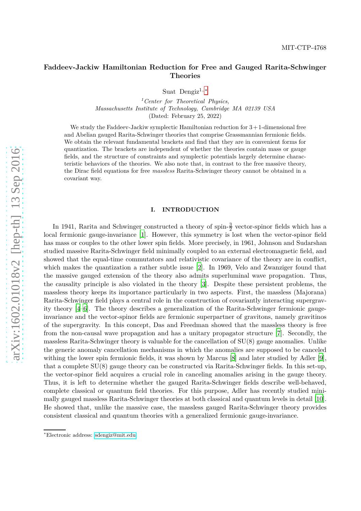# **Faddeev-Jackiw Hamiltonian Reduction for Free and Gauged Rarita-Schwinger Theories**

Suat Dengiz<sup>1,\*</sup>

*<sup>1</sup>Center for Theoretical Physics, Massachusetts Institute of Technology, Cambridge MA 02139 USA* (Dated: February 25, 2022)

We study the Faddeev-Jackiw symplectic Hamiltonian reduction for  $3+1$ -dimensional free and Abelian gauged Rarita-Schwinger theories that comprise Grassmannian fermionic fields. We obtain the relevant fundamental brackets and find that they are in convenient forms for quantization. The brackets are independent of whether the theories contain mass or gauge fields, and the structure of constraints and symplectic potentials largely determine characteristic behaviors of the theories. We also note that, in contrast to the free massive theory, the Dirac field equations for free *massless* Rarita-Schwinger theory cannot be obtained in a covariant way.

# **I. INTRODUCTION**

In 1941, Rarita and Schwinger constructed a theory of spin- $\frac{3}{2}$  vector-spinor fields which has a local fermionic gauge-invariance [\[1\]](#page-16-0). However, this symmetry is lost when the vector-spinor field has mass or couples to the other lower spin fields. More precisely, in 1961, Johnson and Sudarshan studied massive Rarita-Schwinger field minimally coupled to an external electromagnetic field, and showed that the equal-time commutators and relativistic covariance of the theory are in conflict, which makes the quantization a rather subtle issue [\[2](#page-16-1)]. In 1969, Velo and Zwanziger found that the massive gauged extension of the theory also admits superluminal wave propagation. Thus, the causality principle is also violated in the theory [\[3](#page-16-2)]. Despite these persistent problems, the massless theory keeps its importance particularly in two aspects. First, the massless (Majorana) Rarita-Schwinger field plays a central role in the construction of covariantly interacting supergravity theory [\[4](#page-16-3)[–6](#page-16-4)]. The theory describes a generalization of the Rarita-Schwinger fermionic gaugeinvariance and the vector-spinor fields are fermionic superpartner of gravitons, namely gravitinos of the supergravity. In this concept, Das and Freedman showed that the massless theory is free from the non-causal wave propagation and has a unitary propagator structure [\[7](#page-16-5)]. Secondly, the massless Rarita-Schwinger theory is valuable for the cancellation of SU(8) gauge anomalies. Unlike the generic anomaly cancellation mechanisms in which the anomalies are supposed to be canceled withing the lower spin fermionic fields, it was shown by Marcus [\[8](#page-16-6)] and later studied by Adler [\[9](#page-16-7)], that a complete SU(8) gauge theory can be constructed via Rarita-Schwinger fields. In this set-up, the vector-spinor field acquires a crucial role in canceling anomalies arising in the gauge theory. Thus, it is left to determine whether the gauged Rarita-Schwinger fields describe well-behaved, complete classical or quantum field theories. For this purpose, Adler has recently studied minimally gauged massless Rarita-Schwinger theories at both classical and quantum levels in detail [\[10](#page-16-8)]. He showed that, unlike the massive case, the massless gauged Rarita-Schwinger theory provides consistent classical and quantum theories with a generalized fermionic gauge-invariance.

<span id="page-0-0"></span><sup>∗</sup>Electronic address: [sdengiz@mit.edu](mailto:sdengiz@mit.edu)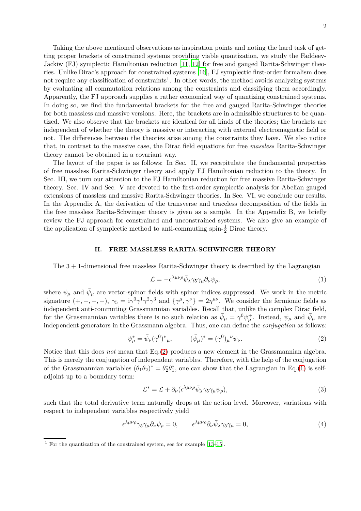Taking the above mentioned observations as inspiration points and noting the hard task of getting proper brackets of constrained systems providing viable quantization, we study the Faddeev-Jackiw (FJ) symplectic Hamiltonian reduction [\[11](#page-16-9), [12](#page-16-10)] for free and gauged Rarita-Schwinger theories. Unlike Dirac's approach for constrained systems [\[16](#page-16-11)], FJ symplectic first-order formalism does not require any classification of constraints<sup>1</sup>. In other words, the method avoids analyzing systems by evaluating all commutation relations among the constraints and classifying them accordingly. Apparently, the FJ approach supplies a rather economical way of quantizing constrained systems. In doing so, we find the fundamental brackets for the free and gauged Rarita-Schwinger theories for both massless and massive versions. Here, the brackets are in admissible structures to be quantized. We also observe that the brackets are identical for all kinds of the theories; the brackets are independent of whether the theory is massive or interacting with external electromagnetic field or not. The differences between the theories arise among the constraints they have. We also notice that, in contrast to the massive case, the Dirac field equations for free *massless* Rarita-Schwinger theory cannot be obtained in a covariant way.

The layout of the paper is as follows: In Sec. II, we recapitulate the fundamental properties of free massless Rarita-Schwinger theory and apply FJ Hamiltonian reduction to the theory. In Sec. III, we turn our attention to the FJ Hamiltonian reduction for free massive Rarita-Schwinger theory. Sec. IV and Sec. V are devoted to the first-order symplectic analysis for Abelian gauged extensions of massless and massive Rarita-Schwinger theories. In Sec. VI, we conclude our results. In the Appendix A, the derivation of the transverse and traceless decomposition of the fields in the free massless Rarita-Schwinger theory is given as a sample. In the Appendix B, we briefly review the FJ approach for constrained and unconstrained systems. We also give an example of the application of symplectic method to anti-commuting spin- $\frac{1}{2}$  Dirac theory.

#### **II. FREE MASSLESS RARITA-SCHWINGER THEORY**

The  $3 + 1$ -dimensional free massless Rarita-Schwinger theory is described by the Lagrangian

<span id="page-1-1"></span>
$$
\mathcal{L} = -\epsilon^{\lambda\mu\nu\rho}\bar{\psi}_{\lambda}\gamma_5\gamma_{\mu}\partial_{\nu}\psi_{\rho},\tag{1}
$$

where  $\psi_{\mu}$  and  $\bar{\psi}_{\mu}$  are vector-spinor fields with spinor indices suppressed. We work in the metric signature  $(+, -, -, -)$ ,  $\gamma_5 = i\gamma^0 \gamma^1 \gamma^2 \gamma^3$  and  $\{\gamma^\mu, \gamma^\nu\} = 2\eta^{\mu\nu}$ . We consider the fermionic fields as independent anti-commuting Grassmannian variables. Recall that, unlike the complex Dirac field, for the Grassmannian variables there is no such relation as  $\bar{\psi}_{\mu} = \gamma^0 \psi_{\mu}^+$ . Instead,  $\psi_{\mu}$  and  $\bar{\psi}_{\mu}$  are independent generators in the Grassmann algebra. Thus, one can define the *conjugation* as follows:

<span id="page-1-0"></span>
$$
\psi_{\mu}^* = \bar{\psi}_{\nu}(\gamma^0)^{\nu}{}_{\mu}, \qquad (\bar{\psi}_{\mu})^* = (\gamma^0)_{\mu}{}^{\nu} \psi_{\nu}. \tag{2}
$$

Notice that this does *not* mean that Eq.[\(2\)](#page-1-0) produces a new element in the Grassmannian algebra. This is merely the conjugation of independent variables. Therefore, with the help of the conjugation of the Grassmannian variables  $(\theta_1 \theta_2)^* = \theta_2^*$  ${}_{2}^{*}\theta_{1}^{*}$  $_{1}^{*}$ , one can show that the Lagrangian in Eq.[\(1\)](#page-1-1) is selfadjoint up to a boundary term:

$$
\mathcal{L}^* = \mathcal{L} + \partial_\nu (\epsilon^{\lambda \mu \nu \rho} \bar{\psi}_{\lambda} \gamma_5 \gamma_\mu \psi_\rho), \tag{3}
$$

such that the total derivative term naturally drops at the action level. Moreover, variations with respect to independent variables respectively yield

<span id="page-1-2"></span>
$$
\epsilon^{\lambda\mu\nu\rho}\gamma_5\gamma_\mu\partial_\nu\psi_\rho = 0, \qquad \epsilon^{\lambda\mu\nu\rho}\partial_\nu\bar{\psi}_\lambda\gamma_5\gamma_\mu = 0, \tag{4}
$$

<sup>&</sup>lt;sup>1</sup> For the quantization of the constrained system, see for example [\[13](#page-16-12)[–15](#page-16-13)].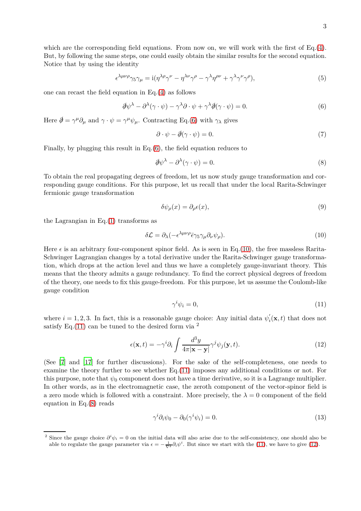which are the corresponding field equations. From now on, we will work with the first of Eq.[\(4\)](#page-1-2). But, by following the same steps, one could easily obtain the similar results for the second equation. Notice that by using the identity

<span id="page-2-7"></span>
$$
\epsilon^{\lambda\mu\nu\rho}\gamma_5\gamma_\mu = i(\eta^{\lambda\rho}\gamma^\nu - \eta^{\lambda\nu}\gamma^\rho - \gamma^\lambda\eta^{\rho\nu} + \gamma^\lambda\gamma^\nu\gamma^\rho),\tag{5}
$$

one can recast the field equation in Eq.[\(4\)](#page-1-2) as follows

<span id="page-2-0"></span>
$$
\partial \psi^{\lambda} - \partial^{\lambda} (\gamma \cdot \psi) - \gamma^{\lambda} \partial \cdot \psi + \gamma^{\lambda} \partial (\gamma \cdot \psi) = 0.
$$
 (6)

Here  $\partial \psi = \gamma^{\mu} \partial_{\mu}$  and  $\gamma \cdot \psi = \gamma^{\mu} \psi_{\mu}$ . Contracting Eq.[\(6\)](#page-2-0) with  $\gamma_{\lambda}$  gives

<span id="page-2-6"></span>
$$
\partial \cdot \psi - \partial \phi(\gamma \cdot \psi) = 0. \tag{7}
$$

Finally, by plugging this result in Eq.[\(6\)](#page-2-0), the field equation reduces to

<span id="page-2-3"></span>
$$
\partial \psi^{\lambda} - \partial^{\lambda} (\gamma \cdot \psi) = 0. \tag{8}
$$

To obtain the real propagating degrees of freedom, let us now study gauge transformation and corresponding gauge conditions. For this purpose, let us recall that under the local Rarita-Schwinger fermionic gauge transformation

$$
\delta\psi_{\rho}(x) = \partial_{\rho}\epsilon(x),\tag{9}
$$

the Lagrangian in  $Eq.(1)$  $Eq.(1)$  transforms as

<span id="page-2-1"></span>
$$
\delta \mathcal{L} = \partial_{\lambda} (-\epsilon^{\lambda \mu \nu \rho} \bar{\epsilon} \gamma_5 \gamma_{\mu} \partial_{\nu} \psi_{\rho}). \tag{10}
$$

Here  $\epsilon$  is an arbitrary four-component spinor field. As is seen in Eq.[\(10\)](#page-2-1), the free massless Rarita-Schwinger Lagrangian changes by a total derivative under the Rarita-Schwinger gauge transformation, which drops at the action level and thus we have a completely gauge-invariant theory. This means that the theory admits a gauge redundancy. To find the correct physical degrees of freedom of the theory, one needs to fix this gauge-freedom. For this purpose, let us assume the Coulomb-like gauge condition

<span id="page-2-2"></span>
$$
\gamma^i \psi_i = 0,\tag{11}
$$

where  $i = 1, 2, 3$ . In fact, this is a reasonable gauge choice: Any initial data  $\psi'_i$  $i<sub>i</sub>(\mathbf{x},t)$  that does not satisfy Eq.  $(11)$  can be tuned to the desired form via <sup>2</sup>

<span id="page-2-4"></span>
$$
\epsilon(\mathbf{x},t) = -\gamma^i \partial_i \int \frac{d^3y}{4\pi|\mathbf{x} - \mathbf{y}|} \gamma^j \psi_j(\mathbf{y},t). \tag{12}
$$

(See [\[7\]](#page-16-5) and [\[17\]](#page-16-14) for further discussions). For the sake of the self-completeness, one needs to examine the theory further to see whether Eq.[\(11\)](#page-2-2) imposes any additional conditions or not. For this purpose, note that  $\psi_0$  component does not have a time derivative, so it is a Lagrange multiplier. In other words, as in the electromagnetic case, the zeroth component of the vector-spinor field is a zero mode which is followed with a constraint. More precisely, the  $\lambda = 0$  component of the field equation in Eq.[\(8\)](#page-2-3) reads

<span id="page-2-5"></span>
$$
\gamma^i \partial_i \psi_0 - \partial_0(\gamma^i \psi_i) = 0. \tag{13}
$$

<sup>&</sup>lt;sup>2</sup> Since the gauge choice  $\partial^i \psi_i = 0$  on the initial data will also arise due to the self-consistency, one should also be able to regulate the gauge parameter via  $\epsilon = -\frac{1}{\nabla^2} \partial_i \psi^i$ . But since we start with the [\(11\)](#page-2-2), we have to give [\(12\)](#page-2-4).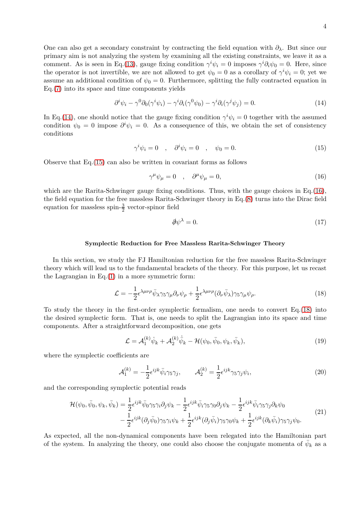One can also get a secondary constraint by contracting the field equation with *∂λ*. But since our primary aim is not analyzing the system by examining all the existing constraints, we leave it as a comment. As is seen in Eq.[\(13\)](#page-2-5), gauge fixing condition  $\gamma^{i}\psi_{i} = 0$  imposes  $\gamma^{i}\partial_{i}\psi_{0} = 0$ . Here, since the operator is not invertible, we are not allowed to get  $\psi_0 = 0$  as a corollary of  $\gamma^i \psi_i = 0$ ; yet we assume an additional condition of  $\psi_0 = 0$ . Furthermore, splitting the fully contracted equation in Eq.[\(7\)](#page-2-6) into its space and time components yields

<span id="page-3-0"></span>
$$
\partial^i \psi_i - \gamma^0 \partial_0 (\gamma^i \psi_i) - \gamma^i \partial_i (\gamma^0 \psi_0) - \gamma^i \partial_i (\gamma^j \psi_j) = 0. \tag{14}
$$

In Eq.[\(14\)](#page-3-0), one should notice that the gauge fixing condition  $\gamma^i \psi_i = 0$  together with the assumed condition  $\psi_0 = 0$  impose  $\partial^i \psi_i = 0$ . As a consequence of this, we obtain the set of consistency conditions

<span id="page-3-1"></span>
$$
\gamma^i \psi_i = 0 \quad , \quad \partial^i \psi_i = 0 \quad , \quad \psi_0 = 0. \tag{15}
$$

Observe that Eq.[\(15\)](#page-3-1) can also be written in covariant forms as follows

<span id="page-3-2"></span>
$$
\gamma^{\mu}\psi_{\mu} = 0 \quad , \quad \partial^{\mu}\psi_{\mu} = 0, \tag{16}
$$

which are the Rarita-Schwinger gauge fixing conditions. Thus, with the gauge choices in Eq.[\(16\)](#page-3-2), the field equation for the free massless Rarita-Schwinger theory in Eq.[\(8\)](#page-2-3) turns into the Dirac field equation for massless spin- $\frac{3}{2}$  vector-spinor field

$$
\partial \psi^{\lambda} = 0. \tag{17}
$$

### **Symplectic Reduction for Free Massless Rarita-Schwinger Theory**

In this section, we study the FJ Hamiltonian reduction for the free massless Rarita-Schwinger theory which will lead us to the fundamental brackets of the theory. For this purpose, let us recast the Lagrangian in  $Eq.(1)$  $Eq.(1)$  in a more symmetric form:

<span id="page-3-3"></span>
$$
\mathcal{L} = -\frac{1}{2} \epsilon^{\lambda \mu \nu \rho} \bar{\psi}_{\lambda} \gamma_5 \gamma_{\mu} \partial_{\nu} \psi_{\rho} + \frac{1}{2} \epsilon^{\lambda \mu \nu \rho} (\partial_{\nu} \bar{\psi}_{\lambda}) \gamma_5 \gamma_{\mu} \psi_{\rho}.
$$
 (18)

To study the theory in the first-order symplectic formalism, one needs to convert Eq.[\(18\)](#page-3-3) into the desired symplectic form. That is, one needs to split the Lagrangian into its space and time components. After a straightforward decomposition, one gets

<span id="page-3-4"></span>
$$
\mathcal{L} = \mathcal{A}_1^{(k)} \dot{\psi}_k + \mathcal{A}_2^{(k)} \dot{\bar{\psi}}_k - \mathcal{H}(\psi_0, \bar{\psi}_0, \psi_k, \bar{\psi}_k), \qquad (19)
$$

where the symplectic coefficients are

$$
\mathcal{A}_1^{(k)} = -\frac{1}{2} \epsilon^{ijk} \bar{\psi}_i \gamma_5 \gamma_j, \qquad \mathcal{A}_2^{(k)} = \frac{1}{2} \epsilon^{ijk} \gamma_5 \gamma_j \psi_i,\tag{20}
$$

and the corresponding symplectic potential reads

$$
\mathcal{H}(\psi_0, \bar{\psi}_0, \psi_k, \bar{\psi}_k) = \frac{1}{2} \epsilon^{ijk} \bar{\psi}_0 \gamma_5 \gamma_i \partial_j \psi_k - \frac{1}{2} \epsilon^{ijk} \bar{\psi}_i \gamma_5 \gamma_0 \partial_j \psi_k - \frac{1}{2} \epsilon^{ijk} \bar{\psi}_i \gamma_5 \gamma_j \partial_k \psi_0 -\frac{1}{2} \epsilon^{ijk} (\partial_j \bar{\psi}_0) \gamma_5 \gamma_i \psi_k + \frac{1}{2} \epsilon^{ijk} (\partial_j \bar{\psi}_i) \gamma_5 \gamma_0 \psi_k + \frac{1}{2} \epsilon^{ijk} (\partial_k \bar{\psi}_i) \gamma_5 \gamma_j \psi_0.
$$
\n(21)

As expected, all the non-dynamical components have been relegated into the Hamiltonian part of the system. In analyzing the theory, one could also choose the conjugate momenta of  $\bar{\psi}_k$  as a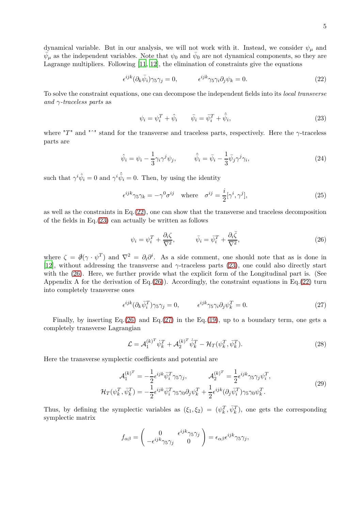<span id="page-4-0"></span>
$$
\epsilon^{ijk} (\partial_k \bar{\psi}_i) \gamma_5 \gamma_j = 0, \qquad \epsilon^{ijk} \gamma_5 \gamma_i \partial_j \psi_k = 0. \qquad (22)
$$

To solve the constraint equations, one can decompose the independent fields into its *local transverse and γ-traceless parts* as

<span id="page-4-1"></span>
$$
\psi_i = \psi_i^T + \hat{\psi}_i \qquad \bar{\psi}_i = \bar{\psi}_i^T + \hat{\bar{\psi}}_i,\tag{23}
$$

where "*T*" and "ˆ" stand for the transverse and traceless parts, respectively. Here the *γ*-traceless parts are

$$
\hat{\psi}_i = \psi_i - \frac{1}{3} \gamma_i \gamma^j \psi_j, \qquad \hat{\bar{\psi}}_i = \bar{\psi}_i - \frac{1}{3} \bar{\psi}_j \gamma^j \gamma_i,
$$
\n(24)

such that  $\gamma^{i} \hat{\psi}_{i} = 0$  and  $\gamma^{i} \hat{\psi}_{i} = 0$ . Then, by using the identity

<span id="page-4-4"></span>
$$
\epsilon^{ijk}\gamma_5\gamma_k = -\gamma^0\sigma^{ij} \quad \text{where} \quad \sigma^{ij} = \frac{i}{2}[\gamma^i, \gamma^j],\tag{25}
$$

as well as the constraints in  $Eq.(22)$  $Eq.(22)$ , one can show that the transverse and traceless decomposition of the fields in Eq.[\(23\)](#page-4-1) can actually be written as follows

<span id="page-4-2"></span>
$$
\psi_i = \psi_i^T + \frac{\partial_i \zeta}{\nabla^2}, \qquad \bar{\psi}_i = \bar{\psi}_i^T + \frac{\partial_i \bar{\zeta}}{\nabla^2}, \qquad (26)
$$

where  $\zeta = \partial(\gamma \cdot \psi^T)$  and  $\nabla^2 = \partial_i \partial^i$ . As a side comment, one should note that as is done in [\[12\]](#page-16-10), without addressing the transverse and *γ*-traceless parts [\(23\)](#page-4-1), one could also directly start with the [\(26\)](#page-4-2). Here, we further provide what the explicit form of the Longitudinal part is. (See Appendix A for the derivation of Eq.[\(26\)](#page-4-2)). Accordingly, the constraint equations in Eq.[\(22\)](#page-4-0) turn into completely transverse ones

<span id="page-4-3"></span>
$$
\epsilon^{ijk} (\partial_k \bar{\psi}_i^T) \gamma_5 \gamma_j = 0, \qquad \epsilon^{ijk} \gamma_5 \gamma_i \partial_j \psi_k^T = 0. \qquad (27)
$$

Finally, by inserting Eq.  $(26)$  and Eq.  $(27)$  in the Eq.  $(19)$ , up to a boundary term, one gets a completely transverse Lagrangian

$$
\mathcal{L} = \mathcal{A}_1^{(k)^T} \dot{\psi}_k^T + \mathcal{A}_2^{(k)^T} \dot{\bar{\psi}}_k^T - \mathcal{H}_T(\psi_k^T, \bar{\psi}_k^T). \tag{28}
$$

Here the transverse symplectic coefficients and potential are

$$
\mathcal{A}_1^{(k)^T} = -\frac{1}{2} \epsilon^{ijk} \bar{\psi}_i^T \gamma_5 \gamma_j, \qquad \mathcal{A}_2^{(k)^T} = \frac{1}{2} \epsilon^{ijk} \gamma_5 \gamma_j \psi_i^T,
$$
  

$$
\mathcal{H}_T(\psi_k^T, \bar{\psi}_k^T) = -\frac{1}{2} \epsilon^{ijk} \bar{\psi}_i^T \gamma_5 \gamma_0 \partial_j \psi_k^T + \frac{1}{2} \epsilon^{ijk} (\partial_j \bar{\psi}_i^T) \gamma_5 \gamma_0 \psi_k^T.
$$
 (29)

Thus, by defining the symplectic variables as  $(\xi_1, \xi_2) = (\psi_k^T, \bar{\psi}_k^T)$ , one gets the corresponding symplectic matrix

$$
f_{\alpha\beta} = \begin{pmatrix} 0 & \epsilon^{ijk}\gamma_5\gamma_j \\ -\epsilon^{ijk}\gamma_5\gamma_j & 0 \end{pmatrix} = \epsilon_{\alpha\beta}\epsilon^{ijk}\gamma_5\gamma_j,
$$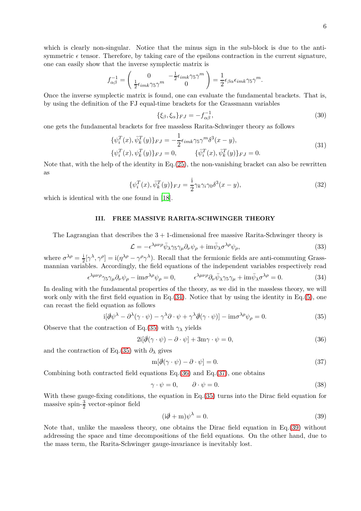which is clearly non-singular. Notice that the minus sign in the sub-block is due to the antisymmetric  $\epsilon$  tensor. Therefore, by taking care of the epsilons contraction in the current signature, one can easily show that the inverse symplectic matrix is

$$
f_{\alpha\beta}^{-1} = \begin{pmatrix} 0 & -\frac{1}{2}\epsilon_{imk}\gamma_5\gamma^m \\ \frac{1}{2}\epsilon_{imk}\gamma_5\gamma^m & 0 \end{pmatrix} = \frac{1}{2}\epsilon_{\beta\alpha}\epsilon_{imk}\gamma_5\gamma^m.
$$

Once the inverse symplectic matrix is found, one can evaluate the fundamental brackets. That is, by using the definition of the FJ equal-time brackets for the Grassmann variables

$$
\{\xi_{\beta}, \xi_{\alpha}\}_{FJ} = -f_{\alpha\beta}^{-1},\tag{30}
$$

one gets the fundamental brackets for free massless Rarita-Schwinger theory as follows

$$
\{\psi_i^T(x), \bar{\psi}_k^T(y)\}_{FJ} = -\frac{1}{2} \epsilon_{imk} \gamma_5 \gamma^m \delta^3(x - y), \{\psi_i^T(x), \psi_k^T(y)\}_{FJ} = 0, \qquad \{\bar{\psi}_i^T(x), \bar{\psi}_k^T(y)\}_{FJ} = 0.
$$
\n(31)

Note that, with the help of the identity in  $Eq.(25)$  $Eq.(25)$ , the non-vanishing bracket can also be rewritten as

$$
\{\psi_i^T(x), \bar{\psi}_k^T(y)\}_{FJ} = \frac{\mathrm{i}}{2} \gamma_k \gamma_i \gamma_0 \delta^3(x - y),\tag{32}
$$

which is identical with the one found in [\[18](#page-16-15)].

# **III. FREE MASSIVE RARITA-SCHWINGER THEORY**

The Lagrangian that describes the  $3 + 1$ -dimensional free massive Rarita-Schwinger theory is

<span id="page-5-5"></span>
$$
\mathcal{L} = -\epsilon^{\lambda\mu\nu\rho}\bar{\psi}_{\lambda}\gamma_5\gamma_\mu\partial_\nu\psi_{\rho} + \text{im}\bar{\psi}_{\lambda}\sigma^{\lambda\rho}\psi_{\rho},\tag{33}
$$

where  $\sigma^{\lambda \rho} = \frac{1}{2} [\gamma^{\lambda}, \gamma^{\rho}] = i(\eta^{\lambda \rho} - \gamma^{\rho} \gamma^{\lambda})$ . Recall that the fermionic fields are anti-commuting Grassmannian variables. Accordingly, the field equations of the independent variables respectively read

<span id="page-5-0"></span>
$$
\epsilon^{\lambda\mu\nu\rho}\gamma_5\gamma_\mu\partial_\nu\psi_\rho - \text{im}\sigma^{\lambda\rho}\psi_\rho = 0, \qquad \epsilon^{\lambda\mu\nu\rho}\partial_\nu\bar{\psi}_\lambda\gamma_5\gamma_\mu + \text{im}\bar{\psi}_\lambda\sigma^{\lambda\rho} = 0. \tag{34}
$$

In dealing with the fundamental properties of the theory, as we did in the massless theory, we will work only with the first field equation in Eq.[\(34\)](#page-5-0). Notice that by using the identity in Eq.[\(5\)](#page-2-7), one can recast the field equation as follows

<span id="page-5-1"></span>
$$
i[\partial \psi^{\lambda} - \partial^{\lambda}(\gamma \cdot \psi) - \gamma^{\lambda} \partial \cdot \psi + \gamma^{\lambda} \partial(\gamma \cdot \psi)] - im\sigma^{\lambda \rho} \psi_{\rho} = 0.
$$
 (35)

Observe that the contraction of Eq.[\(35\)](#page-5-1) with  $\gamma_{\lambda}$  yields

<span id="page-5-2"></span>
$$
2i[\partial(\gamma \cdot \psi) - \partial \cdot \psi] + 3m\gamma \cdot \psi = 0,
$$
\n(36)

and the contraction of Eq.[\(35\)](#page-5-1) with  $\partial_{\lambda}$  gives

<span id="page-5-3"></span>
$$
m[\partial(\gamma \cdot \psi) - \partial \cdot \psi] = 0. \tag{37}
$$

Combining both contracted field equations Eq.[\(36\)](#page-5-2) and Eq.[\(37\)](#page-5-3), one obtains

$$
\gamma \cdot \psi = 0, \qquad \partial \cdot \psi = 0. \tag{38}
$$

With these gauge-fixing conditions, the equation in Eq. [\(35\)](#page-5-1) turns into the Dirac field equation for massive spin- $\frac{3}{2}$  vector-spinor field

<span id="page-5-4"></span>
$$
(\mathrm{i}\partial \!\!\! /+m)\psi^{\lambda}=0.\tag{39}
$$

Note that, unlike the massless theory, one obtains the Dirac field equation in Eq.[\(39\)](#page-5-4) without addressing the space and time decompositions of the field equations. On the other hand, due to the mass term, the Rarita-Schwinger gauge-invariance is inevitably lost.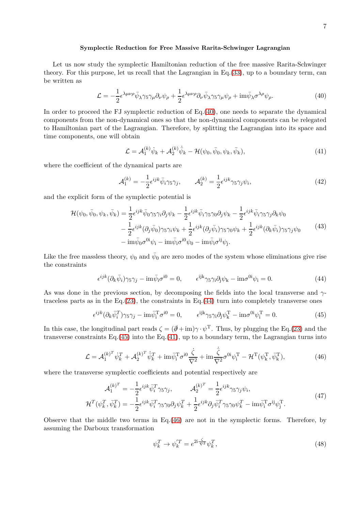#### **Symplectic Reduction for Free Massive Rarita-Schwinger Lagrangian**

Let us now study the symplectic Hamiltonian reduction of the free massive Rarita-Schwinger theory. For this purpose, let us recall that the Lagrangian in Eq.[\(33\)](#page-5-5), up to a boundary term, can be written as

<span id="page-6-0"></span>
$$
\mathcal{L} = -\frac{1}{2} \epsilon^{\lambda \mu \nu \rho} \bar{\psi}_{\lambda} \gamma_5 \gamma_{\mu} \partial_{\nu} \psi_{\rho} + \frac{1}{2} \epsilon^{\lambda \mu \nu \rho} \partial_{\nu} \bar{\psi}_{\lambda} \gamma_5 \gamma_{\mu} \psi_{\rho} + \text{im} \bar{\psi}_{\lambda} \sigma^{\lambda \rho} \psi_{\rho}.
$$
 (40)

In order to proceed the FJ symplectic reduction of  $Eq.(40)$  $Eq.(40)$ , one needs to separate the dynamical components from the non-dynamical ones so that the non-dynamical components can be relegated to Hamiltonian part of the Lagrangian. Therefore, by splitting the Lagrangian into its space and time components, one will obtain

<span id="page-6-3"></span>
$$
\mathcal{L} = \mathcal{A}_1^{(k)} \dot{\psi}_k + \mathcal{A}_2^{(k)} \dot{\bar{\psi}}_k - \mathcal{H}(\psi_0, \bar{\psi}_0, \psi_k, \bar{\psi}_k), \tag{41}
$$

where the coefficient of the dynamical parts are

$$
\mathcal{A}_1^{(k)} = -\frac{1}{2} \epsilon^{ijk} \bar{\psi}_i \gamma_5 \gamma_j, \qquad \mathcal{A}_2^{(k)} = \frac{1}{2} \epsilon^{ijk} \gamma_5 \gamma_j \psi_i,\tag{42}
$$

and the explicit form of the symplectic potential is

$$
\mathcal{H}(\psi_0, \bar{\psi}_0, \psi_k, \bar{\psi}_k) = \frac{1}{2} \epsilon^{ijk} \bar{\psi}_0 \gamma_5 \gamma_i \partial_j \psi_k - \frac{1}{2} \epsilon^{ijk} \bar{\psi}_i \gamma_5 \gamma_0 \partial_j \psi_k - \frac{1}{2} \epsilon^{ijk} \bar{\psi}_i \gamma_5 \gamma_j \partial_k \psi_0 \n- \frac{1}{2} \epsilon^{ijk} (\partial_j \bar{\psi}_0) \gamma_5 \gamma_i \psi_k + \frac{1}{2} \epsilon^{ijk} (\partial_j \bar{\psi}_i) \gamma_5 \gamma_0 \psi_k + \frac{1}{2} \epsilon^{ijk} (\partial_k \bar{\psi}_i) \gamma_5 \gamma_j \psi_0 \n- \mathrm{im} \bar{\psi}_0 \sigma^{0i} \psi_i - \mathrm{im} \bar{\psi}_i \sigma^{i0} \psi_0 - \mathrm{im} \bar{\psi}_i \sigma^{ij} \psi_j.
$$
\n(43)

Like the free massless theory,  $\psi_0$  and  $\bar{\psi}_0$  are zero modes of the system whose eliminations give rise the constraints

<span id="page-6-1"></span>
$$
\epsilon^{ijk}(\partial_k \bar{\psi}_i)\gamma_5\gamma_j - \mathrm{im}\bar{\psi}_i\sigma^{i0} = 0, \qquad \epsilon^{ijk}\gamma_5\gamma_i\partial_j\psi_k - \mathrm{im}\sigma^{0i}\psi_i = 0. \tag{44}
$$

As was done in the previous section, by decomposing the fields into the local transverse and *γ*traceless parts as in the Eq. $(23)$ , the constraints in Eq. $(44)$  turn into completely transverse ones

<span id="page-6-2"></span>
$$
\epsilon^{ijk} (\partial_k \bar{\psi}_i^T) \gamma_5 \gamma_j - \text{im} \bar{\psi}_i^T \sigma^{i0} = 0, \qquad \epsilon^{ijk} \gamma_5 \gamma_i \partial_j \psi_k^T - \text{im} \sigma^{0i} \psi_i^T = 0.
$$
 (45)

In this case, the longitudinal part reads  $\zeta = (\partial + im) \gamma \cdot \psi^T$ . Thus, by plugging the Eq.[\(23\)](#page-4-1) and the transverse constraints Eq.[\(45\)](#page-6-2) into the Eq.[\(41\)](#page-6-3), up to a boundary term, the Lagrangian turns into

<span id="page-6-4"></span>
$$
\mathcal{L} = \mathcal{A}_1^{(k)^T} \dot{\psi}_k^T + \mathcal{A}_2^{(k)^T} \dot{\bar{\psi}}_k^T + \text{im} \bar{\psi}_i^T \sigma^{i0} \frac{\dot{\zeta}}{\nabla^2} + \text{im} \frac{\dot{\bar{\zeta}}}{\nabla^2} \sigma^{0i} \psi_i^T - \mathcal{H}^T (\psi_k^T, \bar{\psi}_k^T), \tag{46}
$$

where the transverse symplectic coefficients and potential respectively are

$$
\mathcal{A}_1^{(k)^T} = -\frac{1}{2} \epsilon^{ijk} \bar{\psi}_i^T \gamma_5 \gamma_j, \qquad \mathcal{A}_2^{(k)^T} = \frac{1}{2} \epsilon^{ijk} \gamma_5 \gamma_j \psi_i,
$$
  

$$
\mathcal{H}^T(\psi_k^T, \bar{\psi}_k^T) = -\frac{1}{2} \epsilon^{ijk} \bar{\psi}_i^T \gamma_5 \gamma_0 \partial_j \psi_k^T + \frac{1}{2} \epsilon^{ijk} \partial_j \bar{\psi}_i^T \gamma_5 \gamma_0 \psi_k^T - \text{im} \bar{\psi}_i^T \sigma^{ij} \psi_j^T.
$$

$$
(47)
$$

Observe that the middle two terms in Eq.[\(46\)](#page-6-4) are not in the symplectic forms. Therefore, by assuming the Darboux transformation

<span id="page-6-5"></span>
$$
\psi_k^T \to \psi_k^{'T} = e^{2i\frac{\zeta}{\nabla^2}} \psi_k^T,\tag{48}
$$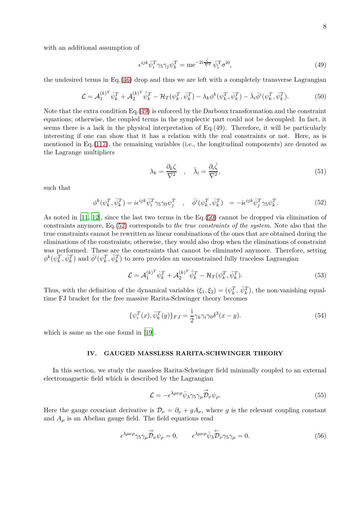with an additional assumption of

<span id="page-7-0"></span>
$$
\epsilon^{ijk}\bar{\psi}_i^T\gamma_5\gamma_j\psi_k^T = \text{me}^{-2i\frac{\bar{\zeta}}{\nabla^2}}\bar{\psi}_i^T\sigma^{i0},\tag{49}
$$

the undesired terms in Eq.[\(46\)](#page-6-4) drop and thus we are left with a completely transverse Lagrangian

<span id="page-7-1"></span>
$$
\mathcal{L} = \mathcal{A}_1^{(k)^T} \dot{\psi}_k^T + \mathcal{A}_2^{(k)^T} \dot{\bar{\psi}}_k^T - \mathcal{H}_T(\psi_k^T, \bar{\psi}_k^T) - \lambda_k \phi^k(\psi_k^T, \bar{\psi}_k^T) - \bar{\lambda}_i \bar{\phi}^i(\psi_k^T, \bar{\psi}_k^T).
$$
(50)

Note that the extra condition Eq.[\(49\)](#page-7-0) is enforced by the Darboux transformation and the constraint equations; otherwise, the coupled terms in the symplectic part could not be decoupled. In fact, it seems there is a lack in the physical interpretation of Eq.(49). Therefore, it will be particularly interesting if one can show that it has a relation with the real constraints or not. Here, as is mentioned in Eq.  $(117)$ , the remaining variables (i.e., the longitudinal components) are denoted as the Lagrange multipliers

$$
\lambda_k = \frac{\partial_k \zeta}{\nabla^2} \quad , \quad \bar{\lambda}_i = \frac{\partial_i \bar{\zeta}}{\nabla^2}, \tag{51}
$$

such that

<span id="page-7-2"></span>
$$
\phi^k(\psi_k^T, \bar{\psi}_k^T) = i\epsilon^{ijk}\bar{\psi}_i^T\gamma_5\gamma_0\psi_j^T \quad , \quad \bar{\phi}^i(\psi_k^T, \bar{\psi}_k^T) = -i\epsilon^{ijk}\bar{\psi}_j^T\gamma_5\psi_k^T.
$$
\n
$$
(52)
$$

As noted in [\[11](#page-16-9), [12\]](#page-16-10), since the last two terms in the Eq.[\(50\)](#page-7-1) cannot be dropped via elimination of constraints anymore, Eq.[\(52\)](#page-7-2) corresponds to *the true constraints of the system*. Note also that the true constraints cannot be rewritten as linear combinations of the ones that are obtained during the eliminations of the constraints; otherwise, they would also drop when the eliminations of constraint was performed. These are the constraints that cannot be eliminated anymore. Therefore, setting  $\phi^k(\psi_k^T, \bar{\psi}_k^T)$  and  $\bar{\phi}^i(\psi_k^T, \bar{\psi}_k^T)$  to zero provides an unconstrained fully traceless Lagrangian

$$
\mathcal{L} = \mathcal{A}_1^{(k)^T} \dot{\psi}_k^T + \mathcal{A}_2^{(k)^T} \dot{\bar{\psi}}_k^T - \mathcal{H}_T(\psi_k^T, \bar{\psi}_k^T). \tag{53}
$$

Thus, with the definition of the dynamical variables  $(\xi_1, \xi_2) = (\psi_k^T, \bar{\psi}_k^T)$ , the non-vanishing equaltime FJ bracket for the free massive Rarita-Schwinger theory becomes

$$
\{\psi_i^T(x), \bar{\psi}_k^T(y)\}_{FJ} = \frac{i}{2} \gamma_k \gamma_i \gamma_0 \delta^3(x - y). \tag{54}
$$

which is same as the one found in [\[19\]](#page-16-16).

#### **IV. GAUGED MASSLESS RARITA-SCHWINGER THEORY**

In this section, we study the massless Rarita-Schwinger field minimally coupled to an external electromagnetic field which is described by the Lagrangian

<span id="page-7-4"></span>
$$
\mathcal{L} = -\epsilon^{\lambda\mu\nu\rho}\bar{\psi}_{\lambda}\gamma_5\gamma_{\mu}\overrightarrow{\mathcal{D}}_{\nu}\psi_{\rho}.\tag{55}
$$

Here the gauge covariant derivative is  $\mathcal{D}_{\nu} = \partial_{\nu} + gA_{\nu}$ , where *g* is the relevant coupling constant and  $A_\mu$  is an Abelian gauge field. The field equations read

<span id="page-7-3"></span>
$$
\epsilon^{\lambda\mu\nu\rho}\gamma_5\gamma_\mu \stackrel{\rightarrow}{\mathcal{D}}_\nu \psi_\rho = 0, \qquad \epsilon^{\lambda\mu\nu\rho}\bar{\psi}_\lambda \stackrel{\leftarrow}{\mathcal{D}}_\nu \gamma_5\gamma_\mu = 0. \tag{56}
$$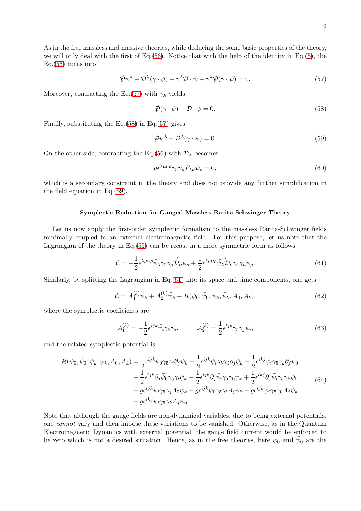As in the free massless and massive theories, while deducing the some basic properties of the theory, we will only deal with the first of Eq.[\(56\)](#page-7-3). Notice that with the help of the identity in Eq.[\(5\)](#page-2-7), the  $Eq.(56) turns into$  $Eq.(56) turns into$  $Eq.(56) turns into$ 

<span id="page-8-0"></span>
$$
\mathcal{D}\psi^{\lambda} - \mathcal{D}^{\lambda}(\gamma \cdot \psi) - \gamma^{\lambda} \mathcal{D} \cdot \psi + \gamma^{\lambda} \mathcal{D}(\gamma \cdot \psi) = 0.
$$
 (57)

Moreover, contracting the Eq.[\(57\)](#page-8-0) with  $\gamma_{\lambda}$  yields

<span id="page-8-1"></span>
$$
\mathcal{D}(\gamma \cdot \psi) - \mathcal{D} \cdot \psi = 0. \tag{58}
$$

Finally, substituting the  $Eq.(58)$  $Eq.(58)$  in Eq. $(57)$  gives

<span id="page-8-2"></span>
$$
\mathcal{D}\psi^{\lambda} - \mathcal{D}^{\lambda}(\gamma \cdot \psi) = 0. \tag{59}
$$

On the other side, contracting the Eq.[\(56\)](#page-7-3) with  $\mathcal{D}_{\lambda}$  becomes

$$
g\epsilon^{\lambda\mu\nu\rho}\gamma_5\gamma_\mu F_{\lambda\nu}\psi_\rho = 0,\tag{60}
$$

which is a secondary constraint in the theory and does not provide any further simplification in the field equation in Eq.[\(59\)](#page-8-2).

#### **Symplectic Reduction for Gauged Massless Rarita-Schwinger Theory**

Let us now apply the first-order symplectic formalism to the massless Rarita-Schwinger fields minimally coupled to an external electromagnetic field. For this purpose, let us note that the Lagrangian of the theory in Eq.[\(55\)](#page-7-4) can be recast in a more symmetric form as follows

<span id="page-8-3"></span>
$$
\mathcal{L} = -\frac{1}{2} \epsilon^{\lambda \mu \nu \rho} \bar{\psi}_{\lambda} \gamma_5 \gamma_{\mu} \overrightarrow{\mathcal{D}}_{\nu} \psi_{\rho} + \frac{1}{2} \epsilon^{\lambda \mu \nu \rho} \bar{\psi}_{\lambda} \overleftarrow{\mathcal{D}}_{\nu} \gamma_5 \gamma_{\mu} \psi_{\rho}.
$$
 (61)

Similarly, by splitting the Lagrangian in Eq.[\(61\)](#page-8-3) into its space and time components, one gets

<span id="page-8-4"></span>
$$
\mathcal{L} = \mathcal{A}_1^{(k)} \dot{\psi}_k + \mathcal{A}_2^{(k)} \dot{\bar{\psi}}_k - \mathcal{H}(\psi_0, \bar{\psi}_0, \psi_k, \bar{\psi}_k, A_0, A_k), \tag{62}
$$

where the symplectic coefficients are

$$
\mathcal{A}_1^{(k)} = -\frac{1}{2} \epsilon^{ijk} \bar{\psi}_i \gamma_5 \gamma_j, \qquad \mathcal{A}_2^{(k)} = \frac{1}{2} \epsilon^{ijk} \gamma_5 \gamma_j \psi_i,\tag{63}
$$

and the related symplectic potential is

$$
\mathcal{H}(\psi_0, \bar{\psi}_0, \psi_k, \bar{\psi}_k, A_0, A_k) = \frac{1}{2} \epsilon^{ijk} \bar{\psi}_0 \gamma_5 \gamma_i \partial_j \psi_k - \frac{1}{2} \epsilon^{ijk} \bar{\psi}_i \gamma_5 \gamma_0 \partial_j \psi_k - \frac{1}{2} \epsilon^{ikj} \bar{\psi}_i \gamma_5 \gamma_k \partial_j \psi_0 \n- \frac{1}{2} \epsilon^{ijk} \partial_j \bar{\psi}_0 \gamma_5 \gamma_i \psi_k + \frac{1}{2} \epsilon^{ijk} \partial_j \bar{\psi}_i \gamma_5 \gamma_0 \psi_k + \frac{1}{2} \epsilon^{ikj} \partial_j \bar{\psi}_i \gamma_5 \gamma_k \psi_0 \n+ g \epsilon^{ijk} \bar{\psi}_i \gamma_5 \gamma_j A_0 \psi_k + g \epsilon^{ijk} \bar{\psi}_0 \gamma_5 \gamma_i A_j \psi_k - g \epsilon^{ijk} \bar{\psi}_i \gamma_5 \gamma_0 A_j \psi_k \n- g \epsilon^{ikj} \bar{\psi}_i \gamma_5 \gamma_k A_j \psi_0.
$$
\n(64)

Note that although the gauge fields are non-dynamical variables, due to being external potentials, one *cannot* vary and then impose these variations to be vanished. Otherwise, as in the Quantum Electromagnetic Dynamics with external potential, the gauge field current would be enforced to be zero which is not a desired situation. Hence, as in the free theories, here  $\psi_0$  and  $\bar{\psi}_0$  are the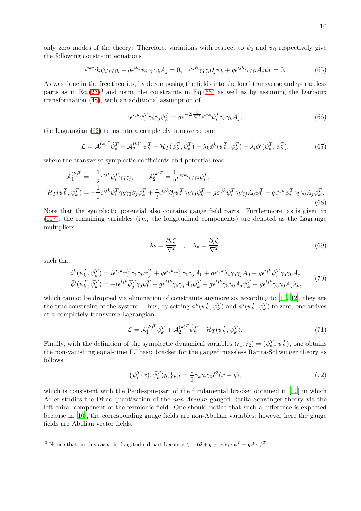only zero modes of the theory: Therefore, variations with respect to  $\psi_0$  and  $\bar{\psi}_0$  respectively give the following constraint equations

<span id="page-9-0"></span>
$$
\epsilon^{ikj}\partial_j\bar{\psi}_i\gamma_5\gamma_k - g\epsilon^{ikj}\bar{\psi}_i\gamma_5\gamma_kA_j = 0, \quad \epsilon^{ijk}\gamma_5\gamma_i\partial_j\psi_k + g\epsilon^{ijk}\gamma_5\gamma_iA_j\psi_k = 0.
$$
 (65)

As was done in the free theories, by decomposing the fields into the local transverse and *γ*-traceless parts as in Eq.[\(23\)](#page-4-1)<sup>3</sup> and using the constraints in Eq.[\(65\)](#page-9-0) as well as by assuming the Darboux transformation [\(48\)](#page-6-5), with an additional assumption of

$$
i\epsilon^{ijk}\bar{\psi}_i^T\gamma_5\gamma_j\psi_k^T = ge^{-2i\frac{\bar{\zeta}}{\nabla^2}}\epsilon^{ijk}\bar{\psi}_i^T\gamma_5\gamma_kA_j,
$$
\n(66)

the Lagrangian [\(62\)](#page-8-4) turns into a completely transverse one

$$
\mathcal{L} = \mathcal{A}_1^{(k)^T} \dot{\psi}_k^T + \mathcal{A}_2^{(k)^T} \dot{\bar{\psi}}_k^T - \mathcal{H}_T(\psi_k^T, \bar{\psi}_k^T) - \lambda_k \phi^k(\psi_k^T, \bar{\psi}_k^T) - \bar{\lambda}_i \bar{\phi}^i(\psi_k^T, \bar{\psi}_k^T),\tag{67}
$$

where the transverse symplectic coefficients and potential read

$$
\mathcal{A}_{1}^{(k)^{T}} = -\frac{1}{2} \epsilon^{ijk} \bar{\psi}_{i}^{T} \gamma_{5} \gamma_{j}, \qquad \mathcal{A}_{2}^{(k)^{T}} = \frac{1}{2} \epsilon^{ijk} \gamma_{5} \gamma_{j} \psi_{i}^{T},
$$
\n
$$
\mathcal{H}_{T}(\psi_{k}^{T}, \bar{\psi}_{k}^{T}) = -\frac{1}{2} \epsilon^{ijk} \bar{\psi}_{i}^{T} \gamma_{5} \gamma_{0} \partial_{j} \psi_{k}^{T} + \frac{1}{2} \epsilon^{ijk} \partial_{j} \bar{\psi}_{i}^{T} \gamma_{5} \gamma_{0} \psi_{k}^{T} + g \epsilon^{ijk} \bar{\psi}_{i}^{T} \gamma_{5} \gamma_{j} A_{0} \psi_{k}^{T} - g \epsilon^{ijk} \bar{\psi}_{i}^{T} \gamma_{5} \gamma_{0} A_{j} \psi_{k}^{T}. \tag{68}
$$

Note that the symplectic potential also contains gauge field parts. Furthermore, as is given in [\(117\)](#page-15-0), the remaining variables (i.e., the longitudinal components) are denoted as the Lagrange multipliers

$$
\lambda_k = \frac{\partial_k \zeta}{\nabla^2} \quad , \quad \bar{\lambda}_k = \frac{\partial_i \bar{\zeta}}{\nabla^2}, \tag{69}
$$

such that

<span id="page-9-1"></span>
$$
\phi^k(\psi_k^T, \bar{\psi}_k^T) = i\epsilon^{ijk}\bar{\psi}_i^T\gamma_5\gamma_0\psi_j^T + g\epsilon^{ijk}\bar{\psi}_i^T\gamma_5\gamma_jA_0 + g\epsilon^{ijk}\bar{\lambda}_i\gamma_5\gamma_jA_0 - g\epsilon^{ijk}\bar{\psi}_i^T\gamma_5\gamma_0A_j
$$
\n
$$
\bar{\phi}^i(\psi_k^T, \bar{\psi}_k^T) = -i\epsilon^{ijk}\bar{\psi}_j^T\gamma_5\psi_k^T + g\epsilon^{ijk}\gamma_5\gamma_jA_0\psi_k^T - g\epsilon^{ijk}\gamma_5\gamma_0A_j\psi_k^T - g\epsilon^{ijk}\gamma_5\gamma_0A_j\lambda_k,
$$
\n(70)

which cannot be dropped via elimination of constraints anymore so, according to [\[11,](#page-16-9) [12\]](#page-16-10), they are the true constraint of the system. Thus, by setting  $\phi^k(\psi_k^T, \bar{\psi}_k^T)$  and  $\bar{\phi}^i(\psi_k^T, \bar{\psi}_k^T)$  to zero, one arrives at a completely transverse Lagrangian

$$
\mathcal{L} = \mathcal{A}_1^{(k)^T} \dot{\psi}_k^T + \mathcal{A}_2^{(k)^T} \dot{\bar{\psi}}_k^T - \mathcal{H}_T(\psi_k^T, \bar{\psi}_k^T). \tag{71}
$$

Finally, with the definition of the symplectic dynamical variables  $(\xi_1, \xi_2) = (\psi_k^T, \bar{\psi}_k^T)$ , one obtains the non-vanishing equal-time FJ basic bracket for the gauged massless Rarita-Schwinger theory as follows

$$
\{\psi_i^T(x), \bar{\psi}_k^T(y)\}_{FJ} = \frac{\mathrm{i}}{2} \gamma_k \gamma_i \gamma_0 \delta^3(x - y),\tag{72}
$$

which is consistent with the Pauli-spin-part of the fundamental bracket obtained in [\[10\]](#page-16-8) in which Adler studies the Dirac quantization of the *non-Abelian* gauged Rarita-Schwinger theory via the left-chiral component of the fermionic field. One should notice that such a difference is expected because in [\[10](#page-16-8)], the corresponding gauge fields are non-Abelian variables; however here the gauge fields are Abelian vector fields.

<sup>&</sup>lt;sup>3</sup> Notice that, in this case, the longitudinal part becomes  $\zeta = (\partial + g \gamma \cdot A)\gamma \cdot \psi^T - gA \cdot \psi^T$ .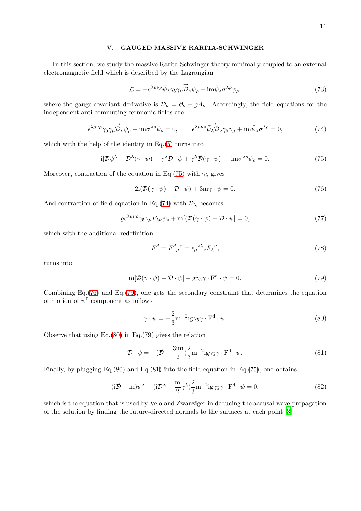### **V. GAUGED MASSIVE RARITA-SCHWINGER**

In this section, we study the massive Rarita-Schwinger theory minimally coupled to an external electromagnetic field which is described by the Lagrangian

<span id="page-10-6"></span>
$$
\mathcal{L} = -\epsilon^{\lambda\mu\nu\rho}\bar{\psi}_{\lambda}\gamma_5\gamma_{\mu}\overrightarrow{\mathcal{D}}_{\nu}\psi_{\rho} + \text{im}\overline{\psi}_{\lambda}\sigma^{\lambda\rho}\psi_{\rho},\tag{73}
$$

where the gauge-covariant derivative is  $\mathcal{D}_{\nu} = \partial_{\nu} + gA_{\nu}$ . Accordingly, the field equations for the independent anti-commuting fermionic fields are

<span id="page-10-1"></span>
$$
\epsilon^{\lambda\mu\nu\rho}\gamma_5\gamma_\mu \stackrel{\rightarrow}{\mathcal{D}}_\nu \psi_\rho - \text{im}\sigma^{\lambda\rho}\psi_\rho = 0, \qquad \epsilon^{\lambda\mu\nu\rho}\bar{\psi}_\lambda \stackrel{\leftarrow}{\mathcal{D}}_\nu \gamma_5\gamma_\mu + \text{im}\bar{\psi}_\lambda \sigma^{\lambda\rho} = 0,\tag{74}
$$

which with the help of the identity in Eq.[\(5\)](#page-2-7) turns into

<span id="page-10-0"></span>
$$
i[\mathcal{D}\psi^{\lambda} - \mathcal{D}^{\lambda}(\gamma \cdot \psi) - \gamma^{\lambda} \mathcal{D} \cdot \psi + \gamma^{\lambda} \mathcal{D}(\gamma \cdot \psi)] - i m \sigma^{\lambda \rho} \psi_{\rho} = 0.
$$
 (75)

Moreover, contraction of the equation in Eq.[\(75\)](#page-10-0) with  $\gamma_{\lambda}$  gives

<span id="page-10-2"></span>
$$
2i(\mathcal{D}(\gamma \cdot \psi) - \mathcal{D} \cdot \psi) + 3m\gamma \cdot \psi = 0.
$$
\n(76)

And contraction of field equation in Eq.[\(74\)](#page-10-1) with  $\mathcal{D}_{\lambda}$  becomes

$$
g\epsilon^{\lambda\mu\nu\rho}\gamma_5\gamma_\mu F_{\lambda\nu}\psi_\rho + \text{m}[(\mathcal{D}(\gamma \cdot \psi) - \mathcal{D} \cdot \psi] = 0,\tag{77}
$$

which with the additional redefinition

$$
F^{d} = F^{d}{}_{\mu}{}^{\rho} = \epsilon_{\mu}{}^{\rho\lambda}{}_{\nu} F_{\lambda}{}^{\nu},\tag{78}
$$

turns into

<span id="page-10-3"></span>
$$
m[\mathcal{D}(\gamma \cdot \psi) - \mathcal{D} \cdot \psi] - g\gamma_5 \gamma \cdot F^d \cdot \psi = 0.
$$
 (79)

Combining Eq.[\(76\)](#page-10-2) and Eq.[\(79\)](#page-10-3), one gets the secondary constraint that determines the equation of motion of  $\psi^0$  component as follows

<span id="page-10-4"></span>
$$
\gamma \cdot \psi = -\frac{2}{3} \text{m}^{-2} \text{ig} \gamma_5 \gamma \cdot \text{F}^{\text{d}} \cdot \psi. \tag{80}
$$

Observe that using  $Eq.(80)$  $Eq.(80)$  in Eq.[\(79\)](#page-10-3) gives the relation

<span id="page-10-5"></span>
$$
\mathcal{D} \cdot \psi = -(\mathcal{D} - \frac{3im}{2})\frac{2}{3}m^{-2}ig\gamma_5\gamma \cdot F^d \cdot \psi.
$$
 (81)

Finally, by plugging Eq.  $(80)$  and Eq. $(81)$  into the field equation in Eq.  $(75)$ , one obtains

$$
(i\mathcal{D} - m)\psi^{\lambda} + (i\mathcal{D}^{\lambda} + \frac{m}{2}\gamma^{\lambda})\frac{2}{3}m^{-2}ig\gamma_{5}\gamma \cdot F^{d} \cdot \psi = 0,
$$
\n(82)

which is the equation that is used by Velo and Zwanziger in deducing the acausal wave propagation of the solution by finding the future-directed normals to the surfaces at each point [\[3](#page-16-2)].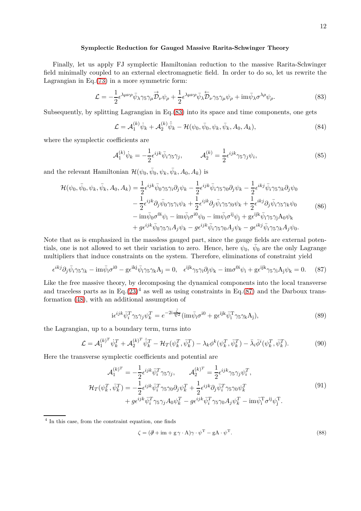#### **Symplectic Reduction for Gauged Massive Rarita-Schwinger Theory**

Finally, let us apply FJ symplectic Hamiltonian reduction to the massive Rarita-Schwinger field minimally coupled to an external electromagnetic field. In order to do so, let us rewrite the Lagrangian in Eq.[\(73\)](#page-10-6) in a more symmetric form:

<span id="page-11-0"></span>
$$
\mathcal{L} = -\frac{1}{2} \epsilon^{\lambda \mu \nu \rho} \bar{\psi}_{\lambda} \gamma_5 \gamma_{\mu} \overrightarrow{\mathcal{D}}_{\nu} \psi_{\rho} + \frac{1}{2} \epsilon^{\lambda \mu \nu \rho} \bar{\psi}_{\lambda} \overleftarrow{\mathcal{D}}_{\nu} \gamma_5 \gamma_{\mu} \psi_{\rho} + \text{im} \bar{\psi}_{\lambda} \sigma^{\lambda \rho} \psi_{\rho}.
$$
 (83)

Subsequently, by splitting Lagrangian in Eq.[\(83\)](#page-11-0) into its space and time components, one gets

$$
\mathcal{L} = \mathcal{A}_1^{(k)} \dot{\psi}_k + \mathcal{A}_2^{(k)} \dot{\bar{\psi}}_k - \mathcal{H}(\psi_0, \bar{\psi}_0, \psi_k, \bar{\psi}_k, A_0, A_k), \tag{84}
$$

where the symplectic coefficients are

$$
\mathcal{A}_1^{(k)} \dot{\psi}_k = -\frac{1}{2} \epsilon^{ijk} \bar{\psi}_i \gamma_5 \gamma_j, \qquad \mathcal{A}_2^{(k)} = \frac{1}{2} \epsilon^{ijk} \gamma_5 \gamma_j \psi_i,\tag{85}
$$

and the relevant Hamiltonian  $\mathcal{H}(\psi_0, \bar{\psi}_0, \psi_k, \bar{\psi}_k, A_0, A_k)$  is

$$
\mathcal{H}(\psi_0, \bar{\psi}_0, \psi_k, \bar{\psi}_k, A_0, A_k) = \frac{1}{2} \epsilon^{ijk} \bar{\psi}_0 \gamma_5 \gamma_i \partial_j \psi_k - \frac{1}{2} \epsilon^{ijk} \bar{\psi}_i \gamma_5 \gamma_0 \partial_j \psi_k - \frac{1}{2} \epsilon^{ikj} \bar{\psi}_i \gamma_5 \gamma_k \partial_j \psi_0 \n- \frac{1}{2} \epsilon^{ijk} \partial_j \bar{\psi}_0 \gamma_5 \gamma_i \psi_k + \frac{1}{2} \epsilon^{ijk} \partial_j \bar{\psi}_i \gamma_5 \gamma_0 \psi_k + \frac{1}{2} \epsilon^{ikj} \partial_j \bar{\psi}_i \gamma_5 \gamma_k \psi_0 \n- \text{im} \bar{\psi}_0 \sigma^{0i} \psi_i - \text{im} \bar{\psi}_i \sigma^{i0} \psi_0 - \text{im} \bar{\psi}_i \sigma^{ij} \psi_j + \text{g} \epsilon^{ijk} \bar{\psi}_i \gamma_5 \gamma_j A_0 \psi_k \n+ g \epsilon^{ijk} \bar{\psi}_0 \gamma_5 \gamma_i A_j \psi_k - g \epsilon^{ijk} \bar{\psi}_i \gamma_5 \gamma_0 A_j \psi_k - g \epsilon^{ikj} \bar{\psi}_i \gamma_5 \gamma_k A_j \psi_0.
$$
\n
$$
(86)
$$

Note that as is emphasized in the massless gauged part, since the gauge fields are external potentials, one is not allowed to set their variation to zero. Hence, here  $\psi_0$ ,  $\bar{\psi}_0$  are the only Lagrange multipliers that induce constraints on the system. Therefore, eliminations of constraint yield

<span id="page-11-1"></span>
$$
\epsilon^{ikj}\partial_j\bar{\psi}_i\gamma_5\gamma_k - \mathrm{im}\bar{\psi}_i\sigma^{i0} - g\epsilon^{ikj}\bar{\psi}_i\gamma_5\gamma_kA_j = 0, \quad \epsilon^{ijk}\gamma_5\gamma_i\partial_j\psi_k - \mathrm{im}\sigma^{0i}\psi_i + g\epsilon^{ijk}\gamma_5\gamma_iA_j\psi_k = 0. \tag{87}
$$

Like the free massive theory, by decomposing the dynamical components into the local transverse and traceless parts as in Eq. $(23)^4$  $(23)^4$  as well as using constraints in Eq. $(87)$  and the Darboux transformation [\(48\)](#page-6-5), with an additional assumption of

$$
i\epsilon^{ijk}\bar{\psi}_i^T\gamma_5\gamma_j\psi_k^T = e^{-2i\frac{\bar{\zeta}}{\nabla^2}}(im\bar{\psi}_i\sigma^{i0} + g\epsilon^{ijk}\bar{\psi}_i^T\gamma_5\gamma_kA_j),\tag{89}
$$

the Lagrangian, up to a boundary term, turns into

<span id="page-11-2"></span>
$$
\mathcal{L} = \mathcal{A}_1^{(k)^T} \dot{\psi}_k^T + \mathcal{A}_2^{(k)^T} \dot{\bar{\psi}}_k^T - \mathcal{H}_T(\psi_k^T, \bar{\psi}_k^T) - \lambda_k \phi^k(\psi_k^T, \bar{\psi}_k^T) - \bar{\lambda}_i \bar{\phi}^i(\psi_k^T, \bar{\psi}_k^T).
$$
(90)

Here the transverse symplectic coefficients and potential are

$$
\mathcal{A}_{1}^{(k)^{T}} = -\frac{1}{2} \epsilon^{ijk} \bar{\psi}_{i}^{T} \gamma_{5} \gamma_{j}, \qquad \mathcal{A}_{2}^{(k)^{T}} = \frac{1}{2} \epsilon^{ijk} \gamma_{5} \gamma_{j} \psi_{i}^{T}, \n\mathcal{H}_{T}(\psi_{k}^{T}, \bar{\psi}_{k}^{T}) = -\frac{1}{2} \epsilon^{ijk} \bar{\psi}_{i}^{T} \gamma_{5} \gamma_{0} \partial_{j} \psi_{k}^{T} + \frac{1}{2} \epsilon^{ijk} \partial_{j} \bar{\psi}_{i}^{T} \gamma_{5} \gamma_{0} \psi_{k}^{T} \n+ g \epsilon^{ijk} \bar{\psi}_{i}^{T} \gamma_{5} \gamma_{j} A_{0} \psi_{k}^{T} - g \epsilon^{ijk} \bar{\psi}_{i}^{T} \gamma_{5} \gamma_{0} A_{j} \psi_{k}^{T} - \text{im} \bar{\psi}_{i}^{T} \sigma^{ij} \psi_{j}^{T}.
$$
\n(91)

4 In this case, from the constraint equation, one finds

$$
\zeta = (\partial \theta + im + g\gamma \cdot A)\gamma \cdot \psi^{T} - gA \cdot \psi^{T}.
$$
\n(88)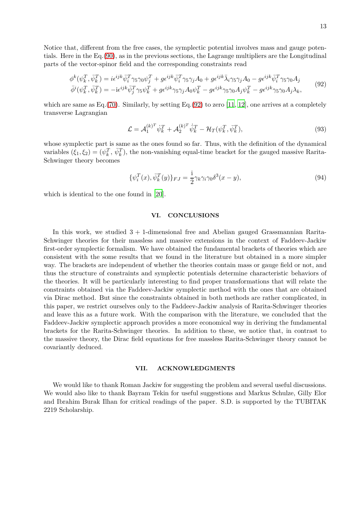Notice that, different from the free cases, the symplectic potential involves mass and gauge potentials. Here in the Eq.[\(90\)](#page-11-2), as in the previous sections, the Lagrange multipliers are the Longitudinal parts of the vector-spinor field and the corresponding constraints read

<span id="page-12-0"></span>
$$
\phi^k(\psi_k^T, \bar{\psi}_k^T) = i\epsilon^{ijk}\bar{\psi}_i^T\gamma_5\gamma_0\psi_j^T + g\epsilon^{ijk}\bar{\psi}_i^T\gamma_5\gamma_jA_0 + g\epsilon^{ijk}\bar{\lambda}_i\gamma_5\gamma_jA_0 - g\epsilon^{ijk}\bar{\psi}_i^T\gamma_5\gamma_0A_j
$$
  
\n
$$
\bar{\phi}^i(\psi_k^T, \bar{\psi}_k^T) = -i\epsilon^{ijk}\bar{\psi}_j^T\gamma_5\psi_k^T + g\epsilon^{ijk}\gamma_5\gamma_jA_0\psi_k^T - g\epsilon^{ijk}\gamma_5\gamma_0A_j\psi_k^T - g\epsilon^{ijk}\gamma_5\gamma_0A_j\lambda_k,
$$
\n(92)

which are same as  $Eq. (70)$  $Eq. (70)$ . Similarly, by setting Eq.[\(92\)](#page-12-0) to zero [\[11,](#page-16-9) [12](#page-16-10)], one arrives at a completely transverse Lagrangian

$$
\mathcal{L} = \mathcal{A}_1^{(k)^T} \dot{\psi}_k^T + \mathcal{A}_2^{(k)^T} \dot{\bar{\psi}}_k^T - \mathcal{H}_T(\psi_k^T, \bar{\psi}_k^T), \tag{93}
$$

whose symplectic part is same as the ones found so far. Thus, with the definition of the dynamical variables  $(\xi_1, \xi_2) = (\psi_k^T, \bar{\psi}_k^T)$ , the non-vanishing equal-time bracket for the gauged massive Rarita-Schwinger theory becomes

$$
\{\psi_i^T(x), \bar{\psi}_k^T(y)\}_{FJ} = \frac{\mathrm{i}}{2} \gamma_k \gamma_i \gamma_0 \delta^3(x - y),\tag{94}
$$

which is identical to the one found in [\[20](#page-16-17)].

#### **VI. CONCLUSIONS**

In this work, we studied  $3 + 1$ -dimensional free and Abelian gauged Grassmannian Rarita-Schwinger theories for their massless and massive extensions in the context of Faddeev-Jackiw first-order symplectic formalism. We have obtained the fundamental brackets of theories which are consistent with the some results that we found in the literature but obtained in a more simpler way. The brackets are independent of whether the theories contain mass or gauge field or not, and thus the structure of constraints and symplectic potentials determine characteristic behaviors of the theories. It will be particularly interesting to find proper transformations that will relate the constraints obtained via the Faddeev-Jackiw symplectic method with the ones that are obtained via Dirac method. But since the constraints obtained in both methods are rather complicated, in this paper, we restrict ourselves only to the Faddeev-Jackiw analysis of Rarita-Schwinger theories and leave this as a future work. With the comparison with the literature, we concluded that the Faddeev-Jackiw symplectic approach provides a more economical way in deriving the fundamental brackets for the Rarita-Schwinger theories. In addition to these, we notice that, in contrast to the massive theory, the Dirac field equations for free massless Rarita-Schwinger theory cannot be covariantly deduced.

# **VII. ACKNOWLEDGMENTS**

We would like to thank Roman Jackiw for suggesting the problem and several useful discussions. We would also like to thank Bayram Tekin for useful suggestions and Markus Schulze, Gilly Elor and Ibrahim Burak Ilhan for critical readings of the paper. S.D. is supported by the TUBITAK 2219 Scholarship.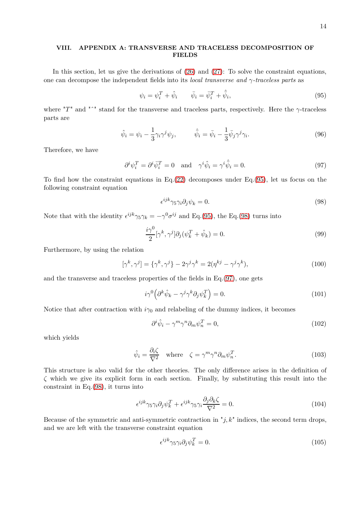# **VIII. APPENDIX A: TRANSVERSE AND TRACELESS DECOMPOSITION OF FIELDS**

In this section, let us give the derivations of [\(26\)](#page-4-2) and [\(27\)](#page-4-3): To solve the constraint equations, one can decompose the independent fields into its *local transverse and γ-traceless parts* as

<span id="page-13-0"></span>
$$
\psi_i = \psi_i^T + \hat{\psi}_i \qquad \bar{\psi}_i = \bar{\psi}_i^T + \hat{\bar{\psi}}_i,\tag{95}
$$

where "*T*" and "ˆ" stand for the transverse and traceless parts, respectively. Here the *γ*-traceless parts are

$$
\hat{\psi}_i = \psi_i - \frac{1}{3} \gamma_i \gamma^j \psi_j, \qquad \hat{\bar{\psi}}_i = \bar{\psi}_i - \frac{1}{3} \bar{\psi}_j \gamma^j \gamma_i.
$$
\n(96)

Therefore, we have

<span id="page-13-2"></span>
$$
\partial^i \psi_i^T = \partial^i \bar{\psi}_i^T = 0 \quad \text{and} \quad \gamma^i \hat{\psi}_i = \gamma^i \hat{\bar{\psi}}_i = 0. \tag{97}
$$

To find how the constraint equations in Eq. $(22)$  decomposes under Eq. $(95)$ , let us focus on the following constraint equation

<span id="page-13-1"></span>
$$
\epsilon^{ijk}\gamma_5\gamma_i\partial_j\psi_k = 0.\tag{98}
$$

Note that with the identity  $\epsilon^{ijk}\gamma_5\gamma_k = -\gamma^0\sigma^{ij}$  and Eq.[\(95\)](#page-13-0), the Eq.[\(98\)](#page-13-1) turns into

$$
\frac{i\gamma^0}{2}[\gamma^k, \gamma^j] \partial_j(\psi_k^T + \hat{\psi}_k) = 0.
$$
\n(99)

Furthermore, by using the relation

$$
[\gamma^k, \gamma^j] = {\gamma^k, \gamma^j} - 2\gamma^j \gamma^k = 2(\eta^{kj} - \gamma^j \gamma^k), \qquad (100)
$$

and the transverse and traceless properties of the fields in Eq.[\(97\)](#page-13-2), one gets

$$
i\gamma^0 \left(\partial^k \hat{\psi}_k - \gamma^j \gamma^k \partial_j \psi_k^T\right) = 0. \tag{101}
$$

Notice that after contraction with  $i\gamma_0$  and relabeling of the dummy indices, it becomes

$$
\partial^i \hat{\psi}_i - \gamma^m \gamma^n \partial_m \psi_n^T = 0, \qquad (102)
$$

which yields

$$
\hat{\psi}_i = \frac{\partial_i \zeta}{\nabla^2} \quad \text{where} \quad \zeta = \gamma^m \gamma^n \partial_m \psi_n^T. \tag{103}
$$

This structure is also valid for the other theories. The only difference arises in the definition of *ζ* which we give its explicit form in each section. Finally, by substituting this result into the constraint in Eq.[\(98\)](#page-13-1), it turns into

$$
\epsilon^{ijk}\gamma_5\gamma_i\partial_j\psi_k^T + \epsilon^{ijk}\gamma_5\gamma_i\frac{\partial_j\partial_k\zeta}{\nabla^2} = 0.
$$
\n(104)

Because of the symmetric and anti-symmetric contraction in  $"j, k"$  indices, the second term drops, and we are left with the transverse constraint equation

$$
\epsilon^{ijk}\gamma_5\gamma_i\partial_j\psi_k^T = 0.\tag{105}
$$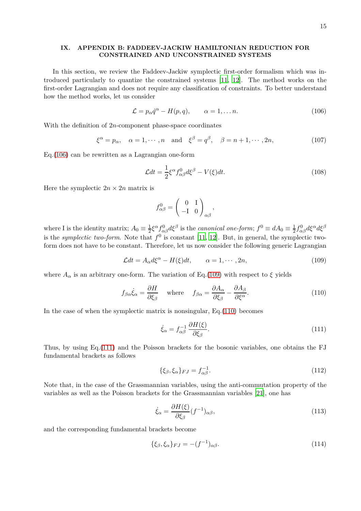## **IX. APPENDIX B: FADDEEV-JACKIW HAMILTONIAN REDUCTION FOR CONSTRAINED AND UNCONSTRAINED SYSTEMS**

In this section, we review the Faddeev-Jackiw symplectic first-order formalism which was introduced particularly to quantize the constrained systems [\[11](#page-16-9), [12](#page-16-10)]. The method works on the first-order Lagrangian and does not require any classification of constraints. To better understand how the method works, let us consider

<span id="page-14-0"></span>
$$
\mathcal{L} = p_{\alpha} \dot{q}^{\alpha} - H(p, q), \qquad \alpha = 1, \dots n. \tag{106}
$$

With the definition of 2*n*-component phase-space coordinates

$$
\xi^{\alpha} = p_{\alpha}, \quad \alpha = 1, \cdots, n \quad \text{and} \quad \xi^{\beta} = q^{\beta}, \quad \beta = n + 1, \cdots, 2n,
$$
\n(107)

Eq.[\(106\)](#page-14-0) can be rewritten as a Lagrangian one-form

$$
\mathcal{L}dt = \frac{1}{2}\xi^{\alpha}f_{\alpha\beta}^{0}d\xi^{\beta} - V(\xi)dt.
$$
\n(108)

Here the symplectic  $2n \times 2n$  matrix is

$$
f^0_{\alpha\beta} = \begin{pmatrix} 0 & 1 \\ -I & 0 \end{pmatrix}_{\alpha\beta},
$$

where I is the identity matrix;  $A_0 \equiv \frac{1}{2}$  $\frac{1}{2}\xi^{\alpha} f_{\alpha\beta}^{0} d\xi^{\beta}$  is the *canonical one-form*;  $f^{0} \equiv dA_{0} \equiv \frac{1}{2}$  $\frac{1}{2}$ *f*<sub>αβ</sub>*d*ζ<sup>α</sup>*d*ζ<sup>β</sup> is the *symplectic two-form*. Note that  $f^0$  is constant [\[11,](#page-16-9) [12](#page-16-10)]. But, in general, the symplectic twoform does not have to be constant. Therefore, let us now consider the following generic Lagrangian

<span id="page-14-1"></span>
$$
\mathcal{L}dt = A_{\alpha}d\xi^{\alpha} - H(\xi)dt, \qquad \alpha = 1, \cdots, 2n,
$$
\n(109)

where  $A_{\alpha}$  is an arbitrary one-form. The variation of Eq.[\(109\)](#page-14-1) with respect to  $\xi$  yields

<span id="page-14-2"></span>
$$
f_{\beta\alpha}\dot{\xi}_{\alpha} = \frac{\partial H}{\partial \xi_{\beta}} \quad \text{where} \quad f_{\beta\alpha} = \frac{\partial A_{\alpha}}{\partial \xi_{\beta}} - \frac{\partial A_{\beta}}{\partial \xi^{\alpha}}.
$$
 (110)

In the case of when the symplectic matrix is nonsingular,  $Eq.(110)$  $Eq.(110)$  becomes

<span id="page-14-3"></span>
$$
\dot{\xi}_{\alpha} = f_{\alpha\beta}^{-1} \frac{\partial H(\xi)}{\partial \xi_{\beta}}.
$$
\n(111)

Thus, by using Eq.[\(111\)](#page-14-3) and the Poisson brackets for the bosonic variables, one obtains the FJ fundamental brackets as follows

$$
\{\xi_{\beta}, \xi_{\alpha}\}_{FJ} = f_{\alpha\beta}^{-1}.\tag{112}
$$

Note that, in the case of the Grassmannian variables, using the anti-commutation property of the variables as well as the Poisson brackets for the Grassmannian variables [\[21](#page-16-18)], one has

$$
\dot{\xi}_{\alpha} = \frac{\partial H(\xi)}{\partial \xi_{\beta}} (f^{-1})_{\alpha\beta},\tag{113}
$$

and the corresponding fundamental brackets become

$$
\{\xi_{\beta}, \xi_{\alpha}\}_{FJ} = -(f^{-1})_{\alpha\beta}.\tag{114}
$$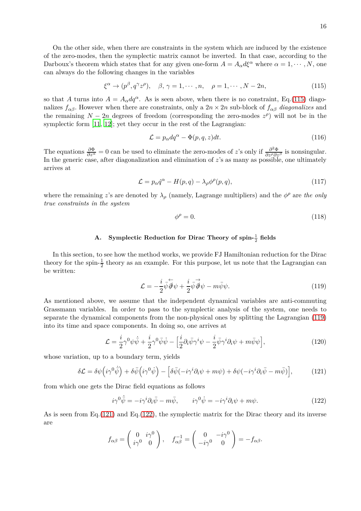On the other side, when there are constraints in the system which are induced by the existence of the zero-modes, then the symplectic matrix cannot be inverted. In that case, according to the Darboux's theorem which states that for any given one-form  $A = A_\alpha d\xi^\alpha$  where  $\alpha = 1, \dots, N$ , one can always do the following changes in the variables

<span id="page-15-1"></span>
$$
\xi^{\alpha} \to (p^{\beta}, q^{\gamma} z^{\rho}), \quad \beta, \gamma = 1, \cdots, n, \quad \rho = 1, \cdots, N - 2n,
$$
\n(115)

so that *A* turns into  $A = A_\alpha dq^\alpha$ . As is seen above, when there is no constraint, Eq.[\(115\)](#page-15-1) diagonalizes  $f_{\alpha\beta}$ . However when there are constraints, only a  $2n \times 2n$  sub-block of  $f_{\alpha\beta}$  *diagonalizes* and the remaining  $N - 2n$  degrees of freedom (corresponding the zero-modes  $z^{\rho}$ ) will not be in the symplectic form  $[11, 12]$  $[11, 12]$  $[11, 12]$ ; yet they occur in the rest of the Lagrangian:

$$
\mathcal{L} = p_{\alpha} dq^{\alpha} - \Phi(p, q, z) dt. \tag{116}
$$

The equations  $\frac{\partial \Phi}{\partial z^{\alpha}} = 0$  can be used to eliminate the zero-modes of *z*'s only if  $\frac{\partial^2 \Phi}{\partial z^{\rho} \partial z^{\beta}}$  is nonsingular. In the generic case, after diagonalization and elimination of *z*'s as many as possible, one ultimately arrives at

<span id="page-15-0"></span>
$$
\mathcal{L} = p_{\alpha} \dot{q}^{\alpha} - H(p, q) - \lambda_{\rho} \phi^{\rho}(p, q), \qquad (117)
$$

where the remaining *z*'s are denoted by  $\lambda_{\rho}$  (namely, Lagrange multipliers) and the  $\phi^{\rho}$  are *the only true constraints in the system*

$$
\phi^{\rho} = 0. \tag{118}
$$

# A. Symplectic Reduction for Dirac Theory of  $\text{spin-}\frac{1}{2}$  fields

In this section, to see how the method works, we provide FJ Hamiltonian reduction for the Dirac theory for the spin- $\frac{1}{2}$  theory as an example. For this purpose, let us note that the Lagrangian can be written:

<span id="page-15-2"></span>
$$
\mathcal{L} = -\frac{i}{2}\overline{\psi}\overleftarrow{\partial}\psi + \frac{i}{2}\overrightarrow{\psi}\overrightarrow{\partial}\psi - m\overline{\psi}\psi.
$$
 (119)

As mentioned above, we assume that the independent dynamical variables are anti-commuting Grassmann variables. In order to pass to the symplectic analysis of the system, one needs to separate the dynamical components from the non-physical ones by splitting the Lagrangian [\(119\)](#page-15-2) into its time and space components. In doing so, one arrives at

$$
\mathcal{L} = \frac{i}{2} \gamma^0 \psi \dot{\bar{\psi}} + \frac{i}{2} \gamma^0 \bar{\psi} \dot{\psi} - \left[ \frac{i}{2} \partial_i \bar{\psi} \gamma^i \psi - \frac{i}{2} \bar{\psi} \gamma^i \partial_i \psi + m \bar{\psi} \psi \right],\tag{120}
$$

whose variation, up to a boundary term, yields

<span id="page-15-3"></span>
$$
\delta \mathcal{L} = \delta \psi \left( i \gamma^0 \dot{\bar{\psi}} \right) + \delta \bar{\psi} \left( i \gamma^0 \dot{\psi} \right) - \left[ \delta \bar{\psi} (-i \gamma^i \partial_i \psi + m \psi) + \delta \psi (-i \gamma^i \partial_i \bar{\psi} - m \bar{\psi}) \right],\tag{121}
$$

from which one gets the Dirac field equations as follows

<span id="page-15-4"></span>
$$
i\gamma^0 \dot{\bar{\psi}} = -i\gamma^i \partial_i \bar{\psi} - m\bar{\psi}, \qquad i\gamma^0 \dot{\psi} = -i\gamma^i \partial_i \psi + m\psi.
$$
 (122)

As is seen from Eq.[\(121\)](#page-15-3) and Eq.[\(122\)](#page-15-4), the symplectic matrix for the Dirac theory and its inverse are

$$
f_{\alpha\beta} = \begin{pmatrix} 0 & i\gamma^0 \\ i\gamma^0 & 0 \end{pmatrix}, \quad f_{\alpha\beta}^{-1} = \begin{pmatrix} 0 & -i\gamma^0 \\ -i\gamma^0 & 0 \end{pmatrix} = -f_{\alpha\beta}.
$$